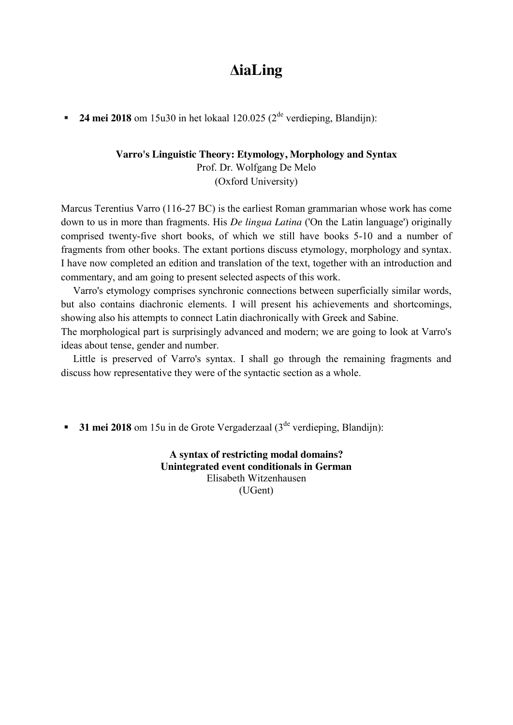## **ΔiaLing**

**24 mei 2018** om 15u30 in het lokaal 120.025 ( $2^{de}$  verdieping, Blandijn):

## **Varro's Linguistic Theory: Etymology, Morphology and Syntax**

Prof. Dr. Wolfgang De Melo (Oxford University)

Marcus Terentius Varro (116-27 BC) is the earliest Roman grammarian whose work has come down to us in more than fragments. His *De lingua Latina* ('On the Latin language') originally comprised twenty-five short books, of which we still have books 5-10 and a number of fragments from other books. The extant portions discuss etymology, morphology and syntax. I have now completed an edition and translation of the text, together with an introduction and commentary, and am going to present selected aspects of this work.

Varro's etymology comprises synchronic connections between superficially similar words, but also contains diachronic elements. I will present his achievements and shortcomings, showing also his attempts to connect Latin diachronically with Greek and Sabine.

The morphological part is surprisingly advanced and modern; we are going to look at Varro's ideas about tense, gender and number.

Little is preserved of Varro's syntax. I shall go through the remaining fragments and discuss how representative they were of the syntactic section as a whole.

**31 mei 2018** om 15u in de Grote Vergaderzaal (3<sup>de</sup> verdieping, Blandijn):

**A syntax of restricting modal domains? Unintegrated event conditionals in German** Elisabeth Witzenhausen (UGent)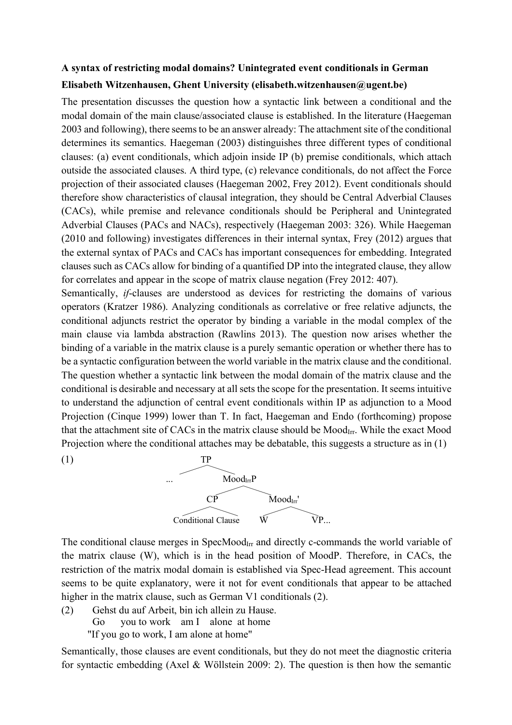## **A syntax of restricting modal domains? Unintegrated event conditionals in German**

## **Elisabeth Witzenhausen, Ghent University (elisabeth.witzenhausen@ugent.be)**

The presentation discusses the question how a syntactic link between a conditional and the modal domain of the main clause/associated clause is established. In the literature (Haegeman 2003 and following), there seems to be an answer already: The attachment site of the conditional determines its semantics. Haegeman (2003) distinguishes three different types of conditional clauses: (a) event conditionals, which adjoin inside IP (b) premise conditionals, which attach outside the associated clauses. A third type, (c) relevance conditionals, do not affect the Force projection of their associated clauses (Haegeman 2002, Frey 2012). Event conditionals should therefore show characteristics of clausal integration, they should be Central Adverbial Clauses (CACs), while premise and relevance conditionals should be Peripheral and Unintegrated Adverbial Clauses (PACs and NACs), respectively (Haegeman 2003: 326). While Haegeman (2010 and following) investigates differences in their internal syntax, Frey (2012) argues that the external syntax of PACs and CACs has important consequences for embedding. Integrated clauses such as CACs allow for binding of a quantified DP into the integrated clause, they allow for correlates and appear in the scope of matrix clause negation (Frey 2012: 407).

Semantically, *if*-clauses are understood as devices for restricting the domains of various operators (Kratzer 1986). Analyzing conditionals as correlative or free relative adjuncts, the conditional adjuncts restrict the operator by binding a variable in the modal complex of the main clause via lambda abstraction (Rawlins 2013). The question now arises whether the binding of a variable in the matrix clause is a purely semantic operation or whether there has to be a syntactic configuration between the world variable in the matrix clause and the conditional. The question whether a syntactic link between the modal domain of the matrix clause and the conditional is desirable and necessary at all sets the scope for the presentation. It seems intuitive to understand the adjunction of central event conditionals within IP as adjunction to a Mood Projection (Cinque 1999) lower than T. In fact, Haegeman and Endo (forthcoming) propose that the attachment site of CACs in the matrix clause should be Mood<sub>Irr</sub>. While the exact Mood Projection where the conditional attaches may be debatable, this suggests a structure as in (1)



The conditional clause merges in SpecMood<sub>Irr</sub> and directly c-commands the world variable of the matrix clause (W), which is in the head position of MoodP. Therefore, in CACs, the restriction of the matrix modal domain is established via Spec-Head agreement. This account seems to be quite explanatory, were it not for event conditionals that appear to be attached higher in the matrix clause, such as German V1 conditionals (2).

(2) Gehst du auf Arbeit, bin ich allein zu Hause. Go you to work am I alone at home "If you go to work, I am alone at home"

Semantically, those clauses are event conditionals, but they do not meet the diagnostic criteria for syntactic embedding (Axel & Wöllstein 2009: 2). The question is then how the semantic